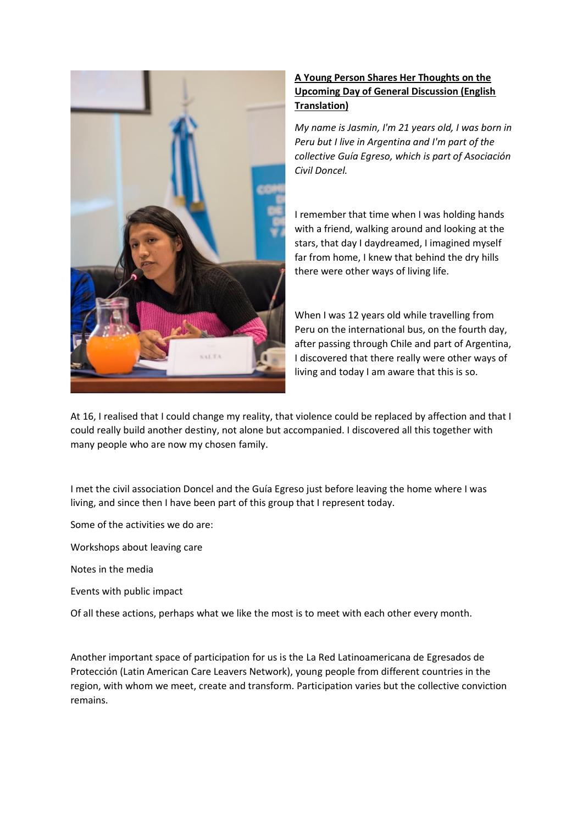

## **A Young Person Shares Her Thoughts on the Upcoming Day of General Discussion (English Translation)**

*My name is Jasmin, I'm 21 years old, I was born in Peru but I live in Argentina and I'm part of the collective Guía Egreso, which is part of Asociación Civil Doncel.*

I remember that time when I was holding hands with a friend, walking around and looking at the stars, that day I daydreamed, I imagined myself far from home, I knew that behind the dry hills there were other ways of living life.

When I was 12 years old while travelling from Peru on the international bus, on the fourth day, after passing through Chile and part of Argentina, I discovered that there really were other ways of living and today I am aware that this is so.

At 16, I realised that I could change my reality, that violence could be replaced by affection and that I could really build another destiny, not alone but accompanied. I discovered all this together with many people who are now my chosen family.

I met the civil association Doncel and the Guía Egreso just before leaving the home where I was living, and since then I have been part of this group that I represent today.

Some of the activities we do are:

Workshops about leaving care

Notes in the media

Events with public impact

Of all these actions, perhaps what we like the most is to meet with each other every month.

Another important space of participation for us is the La Red Latinoamericana de Egresados de Protección (Latin American Care Leavers Network), young people from different countries in the region, with whom we meet, create and transform. Participation varies but the collective conviction remains.